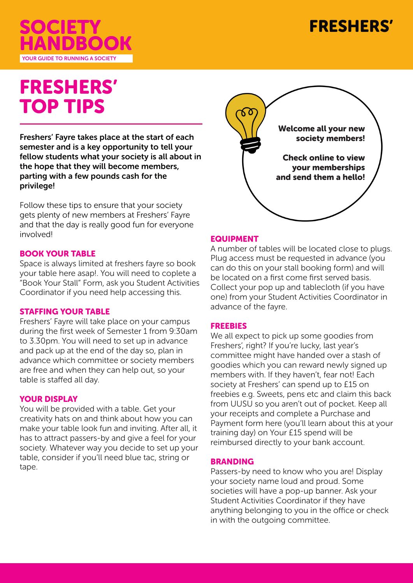



# FRESHERS' TOP TIPS

Freshers' Fayre takes place at the start of each semester and is a key opportunity to tell your fellow students what your society is all about in the hope that they will become members, parting with a few pounds cash for the privilege!

Follow these tips to ensure that your society gets plenty of new members at Freshers' Fayre and that the day is really good fun for everyone involved!

## BOOK YOUR TABLE

Space is always limited at freshers fayre so book your table here asap!. You will need to coplete a "Book Your Stall" Form, ask you Student Activities Coordinator if you need help accessing this.

## STAFFING YOUR TABLE

Freshers' Fayre will take place on your campus during the first week of Semester 1 from 9:30am to 3.30pm. You will need to set up in advance and pack up at the end of the day so, plan in advance which committee or society members are free and when they can help out, so your table is staffed all day.

## YOUR DISPLAY

You will be provided with a table. Get your creativity hats on and think about how you can make your table look fun and inviting. After all, it has to attract passers-by and give a feel for your society. Whatever way you decide to set up your table, consider if you'll need blue tac, string or tape.



## EQUIPMENT

A number of tables will be located close to plugs. Plug access must be requested in advance (you can do this on your stall booking form) and will be located on a first come first served basis. Collect your pop up and tablecloth (if you have one) from your Student Activities Coordinator in advance of the fayre.

## FREEBIES

We all expect to pick up some goodies from Freshers', right? If you're lucky, last year's committee might have handed over a stash of goodies which you can reward newly signed up members with. If they haven't, fear not! Each society at Freshers' can spend up to £15 on freebies e.g. Sweets, pens etc and claim this back from UUSU so you aren't out of pocket. Keep all your receipts and complete a Purchase and Payment form here (you'll learn about this at your training day) on Your £15 spend will be reimbursed directly to your bank account.

# BRANDING

Passers-by need to know who you are! Display your society name loud and proud. Some societies will have a pop-up banner. Ask your Student Activities Coordinator if they have anything belonging to you in the office or check in with the outgoing committee.